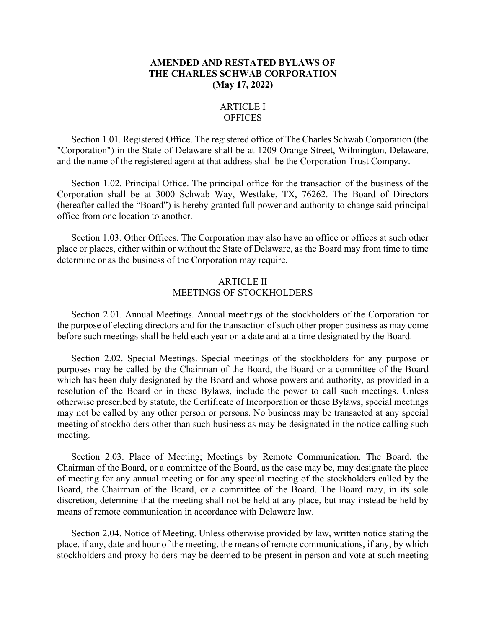## **AMENDED AND RESTATED BYLAWS OF THE CHARLES SCHWAB CORPORATION (May 17, 2022)**

### ARTICLE I **OFFICES**

Section 1.01. Registered Office. The registered office of The Charles Schwab Corporation (the "Corporation") in the State of Delaware shall be at 1209 Orange Street, Wilmington, Delaware, and the name of the registered agent at that address shall be the Corporation Trust Company.

Section 1.02. Principal Office. The principal office for the transaction of the business of the Corporation shall be at 3000 Schwab Way, Westlake, TX, 76262. The Board of Directors (hereafter called the "Board") is hereby granted full power and authority to change said principal office from one location to another.

Section 1.03. Other Offices. The Corporation may also have an office or offices at such other place or places, either within or without the State of Delaware, as the Board may from time to time determine or as the business of the Corporation may require.

### ARTICLE II MEETINGS OF STOCKHOLDERS

Section 2.01. Annual Meetings. Annual meetings of the stockholders of the Corporation for the purpose of electing directors and for the transaction of such other proper business as may come before such meetings shall be held each year on a date and at a time designated by the Board.

Section 2.02. Special Meetings. Special meetings of the stockholders for any purpose or purposes may be called by the Chairman of the Board, the Board or a committee of the Board which has been duly designated by the Board and whose powers and authority, as provided in a resolution of the Board or in these Bylaws, include the power to call such meetings. Unless otherwise prescribed by statute, the Certificate of Incorporation or these Bylaws, special meetings may not be called by any other person or persons. No business may be transacted at any special meeting of stockholders other than such business as may be designated in the notice calling such meeting.

Section 2.03. Place of Meeting; Meetings by Remote Communication. The Board, the Chairman of the Board, or a committee of the Board, as the case may be, may designate the place of meeting for any annual meeting or for any special meeting of the stockholders called by the Board, the Chairman of the Board, or a committee of the Board. The Board may, in its sole discretion, determine that the meeting shall not be held at any place, but may instead be held by means of remote communication in accordance with Delaware law.

Section 2.04. Notice of Meeting. Unless otherwise provided by law, written notice stating the place, if any, date and hour of the meeting, the means of remote communications, if any, by which stockholders and proxy holders may be deemed to be present in person and vote at such meeting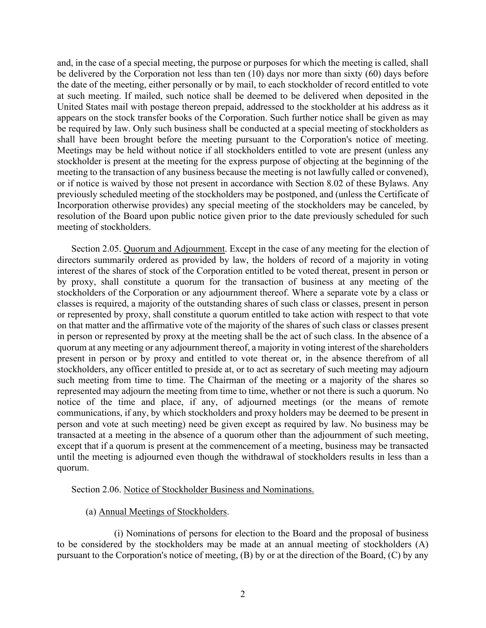and, in the case of a special meeting, the purpose or purposes for which the meeting is called, shall be delivered by the Corporation not less than ten (10) days nor more than sixty (60) days before the date of the meeting, either personally or by mail, to each stockholder of record entitled to vote at such meeting. If mailed, such notice shall be deemed to be delivered when deposited in the United States mail with postage thereon prepaid, addressed to the stockholder at his address as it appears on the stock transfer books of the Corporation. Such further notice shall be given as may be required by law. Only such business shall be conducted at a special meeting of stockholders as shall have been brought before the meeting pursuant to the Corporation's notice of meeting. Meetings may be held without notice if all stockholders entitled to vote are present (unless any stockholder is present at the meeting for the express purpose of objecting at the beginning of the meeting to the transaction of any business because the meeting is not lawfully called or convened), or if notice is waived by those not present in accordance with Section 8.02 of these Bylaws. Any previously scheduled meeting of the stockholders may be postponed, and (unless the Certificate of Incorporation otherwise provides) any special meeting of the stockholders may be canceled, by resolution of the Board upon public notice given prior to the date previously scheduled for such meeting of stockholders.

Section 2.05. Quorum and Adjournment. Except in the case of any meeting for the election of directors summarily ordered as provided by law, the holders of record of a majority in voting interest of the shares of stock of the Corporation entitled to be voted thereat, present in person or by proxy, shall constitute a quorum for the transaction of business at any meeting of the stockholders of the Corporation or any adjournment thereof. Where a separate vote by a class or classes is required, a majority of the outstanding shares of such class or classes, present in person or represented by proxy, shall constitute a quorum entitled to take action with respect to that vote on that matter and the affirmative vote of the majority of the shares of such class or classes present in person or represented by proxy at the meeting shall be the act of such class. In the absence of a quorum at any meeting or any adjournment thereof, a majority in voting interest of the shareholders present in person or by proxy and entitled to vote thereat or, in the absence therefrom of all stockholders, any officer entitled to preside at, or to act as secretary of such meeting may adjourn such meeting from time to time. The Chairman of the meeting or a majority of the shares so represented may adjourn the meeting from time to time, whether or not there is such a quorum. No notice of the time and place, if any, of adjourned meetings (or the means of remote communications, if any, by which stockholders and proxy holders may be deemed to be present in person and vote at such meeting) need be given except as required by law. No business may be transacted at a meeting in the absence of a quorum other than the adjournment of such meeting, except that if a quorum is present at the commencement of a meeting, business may be transacted until the meeting is adjourned even though the withdrawal of stockholders results in less than a quorum.

Section 2.06. Notice of Stockholder Business and Nominations.

### (a) Annual Meetings of Stockholders.

(i) Nominations of persons for election to the Board and the proposal of business to be considered by the stockholders may be made at an annual meeting of stockholders (A) pursuant to the Corporation's notice of meeting, (B) by or at the direction of the Board, (C) by any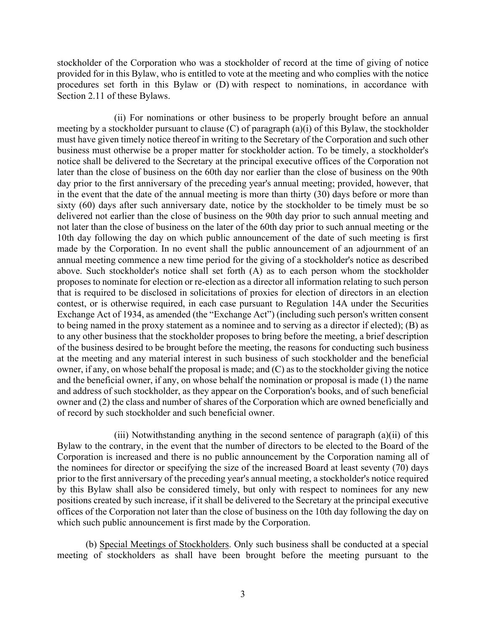stockholder of the Corporation who was a stockholder of record at the time of giving of notice provided for in this Bylaw, who is entitled to vote at the meeting and who complies with the notice procedures set forth in this Bylaw or (D) with respect to nominations, in accordance with Section 2.11 of these Bylaws.

(ii) For nominations or other business to be properly brought before an annual meeting by a stockholder pursuant to clause (C) of paragraph (a)(i) of this Bylaw, the stockholder must have given timely notice thereof in writing to the Secretary of the Corporation and such other business must otherwise be a proper matter for stockholder action. To be timely, a stockholder's notice shall be delivered to the Secretary at the principal executive offices of the Corporation not later than the close of business on the 60th day nor earlier than the close of business on the 90th day prior to the first anniversary of the preceding year's annual meeting; provided, however, that in the event that the date of the annual meeting is more than thirty (30) days before or more than sixty (60) days after such anniversary date, notice by the stockholder to be timely must be so delivered not earlier than the close of business on the 90th day prior to such annual meeting and not later than the close of business on the later of the 60th day prior to such annual meeting or the 10th day following the day on which public announcement of the date of such meeting is first made by the Corporation. In no event shall the public announcement of an adjournment of an annual meeting commence a new time period for the giving of a stockholder's notice as described above. Such stockholder's notice shall set forth (A) as to each person whom the stockholder proposes to nominate for election or re-election as a director all information relating to such person that is required to be disclosed in solicitations of proxies for election of directors in an election contest, or is otherwise required, in each case pursuant to Regulation 14A under the Securities Exchange Act of 1934, as amended (the "Exchange Act") (including such person's written consent to being named in the proxy statement as a nominee and to serving as a director if elected); (B) as to any other business that the stockholder proposes to bring before the meeting, a brief description of the business desired to be brought before the meeting, the reasons for conducting such business at the meeting and any material interest in such business of such stockholder and the beneficial owner, if any, on whose behalf the proposal is made; and (C) as to the stockholder giving the notice and the beneficial owner, if any, on whose behalf the nomination or proposal is made (1) the name and address of such stockholder, as they appear on the Corporation's books, and of such beneficial owner and (2) the class and number of shares of the Corporation which are owned beneficially and of record by such stockholder and such beneficial owner.

(iii) Notwithstanding anything in the second sentence of paragraph (a)(ii) of this Bylaw to the contrary, in the event that the number of directors to be elected to the Board of the Corporation is increased and there is no public announcement by the Corporation naming all of the nominees for director or specifying the size of the increased Board at least seventy (70) days prior to the first anniversary of the preceding year's annual meeting, a stockholder's notice required by this Bylaw shall also be considered timely, but only with respect to nominees for any new positions created by such increase, if it shall be delivered to the Secretary at the principal executive offices of the Corporation not later than the close of business on the 10th day following the day on which such public announcement is first made by the Corporation.

(b) Special Meetings of Stockholders. Only such business shall be conducted at a special meeting of stockholders as shall have been brought before the meeting pursuant to the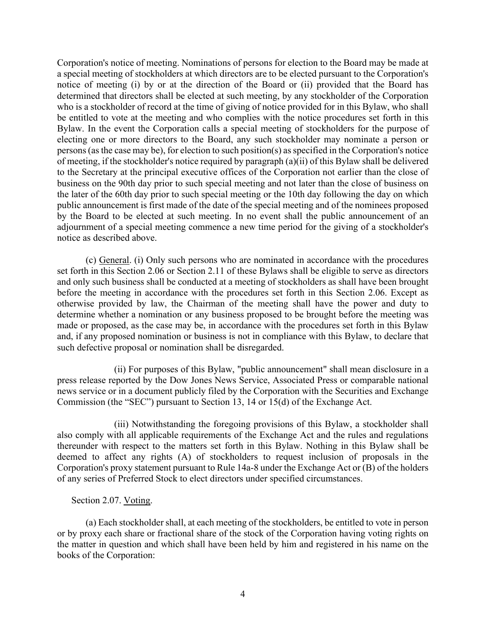Corporation's notice of meeting. Nominations of persons for election to the Board may be made at a special meeting of stockholders at which directors are to be elected pursuant to the Corporation's notice of meeting (i) by or at the direction of the Board or (ii) provided that the Board has determined that directors shall be elected at such meeting, by any stockholder of the Corporation who is a stockholder of record at the time of giving of notice provided for in this Bylaw, who shall be entitled to vote at the meeting and who complies with the notice procedures set forth in this Bylaw. In the event the Corporation calls a special meeting of stockholders for the purpose of electing one or more directors to the Board, any such stockholder may nominate a person or persons (as the case may be), for election to such position(s) as specified in the Corporation's notice of meeting, if the stockholder's notice required by paragraph (a)(ii) of this Bylaw shall be delivered to the Secretary at the principal executive offices of the Corporation not earlier than the close of business on the 90th day prior to such special meeting and not later than the close of business on the later of the 60th day prior to such special meeting or the 10th day following the day on which public announcement is first made of the date of the special meeting and of the nominees proposed by the Board to be elected at such meeting. In no event shall the public announcement of an adjournment of a special meeting commence a new time period for the giving of a stockholder's notice as described above.

(c) General. (i) Only such persons who are nominated in accordance with the procedures set forth in this Section 2.06 or Section 2.11 of these Bylaws shall be eligible to serve as directors and only such business shall be conducted at a meeting of stockholders as shall have been brought before the meeting in accordance with the procedures set forth in this Section 2.06. Except as otherwise provided by law, the Chairman of the meeting shall have the power and duty to determine whether a nomination or any business proposed to be brought before the meeting was made or proposed, as the case may be, in accordance with the procedures set forth in this Bylaw and, if any proposed nomination or business is not in compliance with this Bylaw, to declare that such defective proposal or nomination shall be disregarded.

(ii) For purposes of this Bylaw, "public announcement" shall mean disclosure in a press release reported by the Dow Jones News Service, Associated Press or comparable national news service or in a document publicly filed by the Corporation with the Securities and Exchange Commission (the "SEC") pursuant to Section 13, 14 or 15(d) of the Exchange Act.

(iii) Notwithstanding the foregoing provisions of this Bylaw, a stockholder shall also comply with all applicable requirements of the Exchange Act and the rules and regulations thereunder with respect to the matters set forth in this Bylaw. Nothing in this Bylaw shall be deemed to affect any rights (A) of stockholders to request inclusion of proposals in the Corporation's proxy statement pursuant to Rule 14a-8 under the Exchange Act or (B) of the holders of any series of Preferred Stock to elect directors under specified circumstances.

## Section 2.07. Voting.

(a) Each stockholder shall, at each meeting of the stockholders, be entitled to vote in person or by proxy each share or fractional share of the stock of the Corporation having voting rights on the matter in question and which shall have been held by him and registered in his name on the books of the Corporation: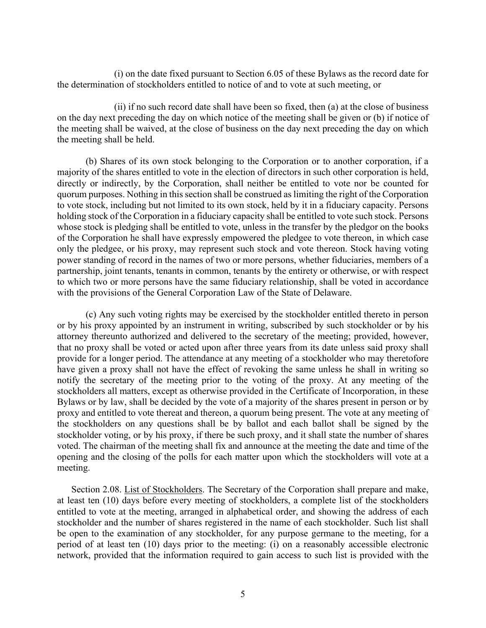(i) on the date fixed pursuant to Section 6.05 of these Bylaws as the record date for the determination of stockholders entitled to notice of and to vote at such meeting, or

(ii) if no such record date shall have been so fixed, then (a) at the close of business on the day next preceding the day on which notice of the meeting shall be given or (b) if notice of the meeting shall be waived, at the close of business on the day next preceding the day on which the meeting shall be held.

(b) Shares of its own stock belonging to the Corporation or to another corporation, if a majority of the shares entitled to vote in the election of directors in such other corporation is held, directly or indirectly, by the Corporation, shall neither be entitled to vote nor be counted for quorum purposes. Nothing in this section shall be construed as limiting the right of the Corporation to vote stock, including but not limited to its own stock, held by it in a fiduciary capacity. Persons holding stock of the Corporation in a fiduciary capacity shall be entitled to vote such stock. Persons whose stock is pledging shall be entitled to vote, unless in the transfer by the pledgor on the books of the Corporation he shall have expressly empowered the pledgee to vote thereon, in which case only the pledgee, or his proxy, may represent such stock and vote thereon. Stock having voting power standing of record in the names of two or more persons, whether fiduciaries, members of a partnership, joint tenants, tenants in common, tenants by the entirety or otherwise, or with respect to which two or more persons have the same fiduciary relationship, shall be voted in accordance with the provisions of the General Corporation Law of the State of Delaware.

(c) Any such voting rights may be exercised by the stockholder entitled thereto in person or by his proxy appointed by an instrument in writing, subscribed by such stockholder or by his attorney thereunto authorized and delivered to the secretary of the meeting; provided, however, that no proxy shall be voted or acted upon after three years from its date unless said proxy shall provide for a longer period. The attendance at any meeting of a stockholder who may theretofore have given a proxy shall not have the effect of revoking the same unless he shall in writing so notify the secretary of the meeting prior to the voting of the proxy. At any meeting of the stockholders all matters, except as otherwise provided in the Certificate of Incorporation, in these Bylaws or by law, shall be decided by the vote of a majority of the shares present in person or by proxy and entitled to vote thereat and thereon, a quorum being present. The vote at any meeting of the stockholders on any questions shall be by ballot and each ballot shall be signed by the stockholder voting, or by his proxy, if there be such proxy, and it shall state the number of shares voted. The chairman of the meeting shall fix and announce at the meeting the date and time of the opening and the closing of the polls for each matter upon which the stockholders will vote at a meeting.

Section 2.08. List of Stockholders. The Secretary of the Corporation shall prepare and make, at least ten (10) days before every meeting of stockholders, a complete list of the stockholders entitled to vote at the meeting, arranged in alphabetical order, and showing the address of each stockholder and the number of shares registered in the name of each stockholder. Such list shall be open to the examination of any stockholder, for any purpose germane to the meeting, for a period of at least ten (10) days prior to the meeting: (i) on a reasonably accessible electronic network, provided that the information required to gain access to such list is provided with the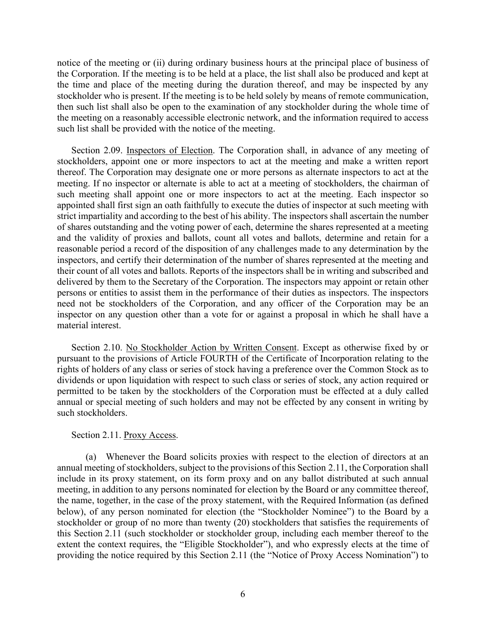notice of the meeting or (ii) during ordinary business hours at the principal place of business of the Corporation. If the meeting is to be held at a place, the list shall also be produced and kept at the time and place of the meeting during the duration thereof, and may be inspected by any stockholder who is present. If the meeting is to be held solely by means of remote communication, then such list shall also be open to the examination of any stockholder during the whole time of the meeting on a reasonably accessible electronic network, and the information required to access such list shall be provided with the notice of the meeting.

Section 2.09. Inspectors of Election. The Corporation shall, in advance of any meeting of stockholders, appoint one or more inspectors to act at the meeting and make a written report thereof. The Corporation may designate one or more persons as alternate inspectors to act at the meeting. If no inspector or alternate is able to act at a meeting of stockholders, the chairman of such meeting shall appoint one or more inspectors to act at the meeting. Each inspector so appointed shall first sign an oath faithfully to execute the duties of inspector at such meeting with strict impartiality and according to the best of his ability. The inspectors shall ascertain the number of shares outstanding and the voting power of each, determine the shares represented at a meeting and the validity of proxies and ballots, count all votes and ballots, determine and retain for a reasonable period a record of the disposition of any challenges made to any determination by the inspectors, and certify their determination of the number of shares represented at the meeting and their count of all votes and ballots. Reports of the inspectors shall be in writing and subscribed and delivered by them to the Secretary of the Corporation. The inspectors may appoint or retain other persons or entities to assist them in the performance of their duties as inspectors. The inspectors need not be stockholders of the Corporation, and any officer of the Corporation may be an inspector on any question other than a vote for or against a proposal in which he shall have a material interest.

Section 2.10. No Stockholder Action by Written Consent. Except as otherwise fixed by or pursuant to the provisions of Article FOURTH of the Certificate of Incorporation relating to the rights of holders of any class or series of stock having a preference over the Common Stock as to dividends or upon liquidation with respect to such class or series of stock, any action required or permitted to be taken by the stockholders of the Corporation must be effected at a duly called annual or special meeting of such holders and may not be effected by any consent in writing by such stockholders.

### Section 2.11. Proxy Access.

(a) Whenever the Board solicits proxies with respect to the election of directors at an annual meeting of stockholders, subject to the provisions of this Section 2.11, the Corporation shall include in its proxy statement, on its form proxy and on any ballot distributed at such annual meeting, in addition to any persons nominated for election by the Board or any committee thereof, the name, together, in the case of the proxy statement, with the Required Information (as defined below), of any person nominated for election (the "Stockholder Nominee") to the Board by a stockholder or group of no more than twenty (20) stockholders that satisfies the requirements of this Section 2.11 (such stockholder or stockholder group, including each member thereof to the extent the context requires, the "Eligible Stockholder"), and who expressly elects at the time of providing the notice required by this Section 2.11 (the "Notice of Proxy Access Nomination") to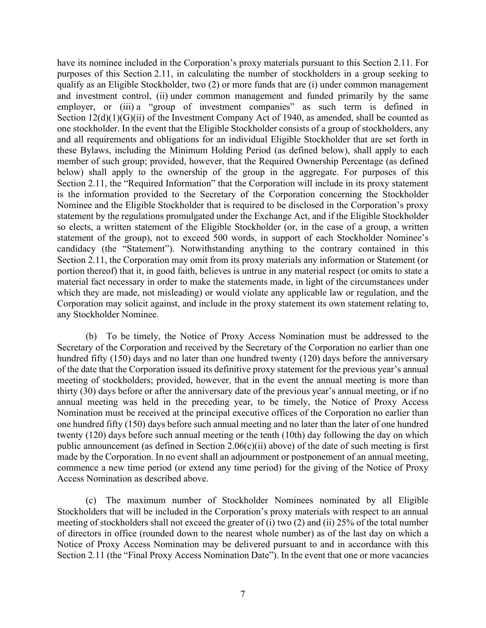have its nominee included in the Corporation's proxy materials pursuant to this Section 2.11. For purposes of this Section 2.11, in calculating the number of stockholders in a group seeking to qualify as an Eligible Stockholder, two (2) or more funds that are (i) under common management and investment control, (ii) under common management and funded primarily by the same employer, or (iii) a "group of investment companies" as such term is defined in Section  $12(d)(1)(G)(ii)$  of the Investment Company Act of 1940, as amended, shall be counted as one stockholder. In the event that the Eligible Stockholder consists of a group of stockholders, any and all requirements and obligations for an individual Eligible Stockholder that are set forth in these Bylaws, including the Minimum Holding Period (as defined below), shall apply to each member of such group; provided, however, that the Required Ownership Percentage (as defined below) shall apply to the ownership of the group in the aggregate. For purposes of this Section 2.11, the "Required Information" that the Corporation will include in its proxy statement is the information provided to the Secretary of the Corporation concerning the Stockholder Nominee and the Eligible Stockholder that is required to be disclosed in the Corporation's proxy statement by the regulations promulgated under the Exchange Act, and if the Eligible Stockholder so elects, a written statement of the Eligible Stockholder (or, in the case of a group, a written statement of the group), not to exceed 500 words, in support of each Stockholder Nominee's candidacy (the "Statement"). Notwithstanding anything to the contrary contained in this Section 2.11, the Corporation may omit from its proxy materials any information or Statement (or portion thereof) that it, in good faith, believes is untrue in any material respect (or omits to state a material fact necessary in order to make the statements made, in light of the circumstances under which they are made, not misleading) or would violate any applicable law or regulation, and the Corporation may solicit against, and include in the proxy statement its own statement relating to, any Stockholder Nominee.

(b) To be timely, the Notice of Proxy Access Nomination must be addressed to the Secretary of the Corporation and received by the Secretary of the Corporation no earlier than one hundred fifty (150) days and no later than one hundred twenty (120) days before the anniversary of the date that the Corporation issued its definitive proxy statement for the previous year's annual meeting of stockholders; provided, however, that in the event the annual meeting is more than thirty (30) days before or after the anniversary date of the previous year's annual meeting, or if no annual meeting was held in the preceding year, to be timely, the Notice of Proxy Access Nomination must be received at the principal executive offices of the Corporation no earlier than one hundred fifty (150) days before such annual meeting and no later than the later of one hundred twenty (120) days before such annual meeting or the tenth (10th) day following the day on which public announcement (as defined in Section 2.06(c)(ii) above) of the date of such meeting is first made by the Corporation. In no event shall an adjournment or postponement of an annual meeting, commence a new time period (or extend any time period) for the giving of the Notice of Proxy Access Nomination as described above.

(c) The maximum number of Stockholder Nominees nominated by all Eligible Stockholders that will be included in the Corporation's proxy materials with respect to an annual meeting of stockholders shall not exceed the greater of (i) two (2) and (ii) 25% of the total number of directors in office (rounded down to the nearest whole number) as of the last day on which a Notice of Proxy Access Nomination may be delivered pursuant to and in accordance with this Section 2.11 (the "Final Proxy Access Nomination Date"). In the event that one or more vacancies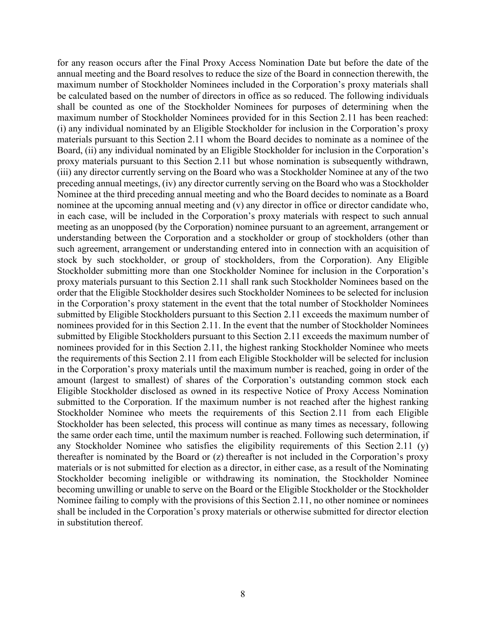for any reason occurs after the Final Proxy Access Nomination Date but before the date of the annual meeting and the Board resolves to reduce the size of the Board in connection therewith, the maximum number of Stockholder Nominees included in the Corporation's proxy materials shall be calculated based on the number of directors in office as so reduced. The following individuals shall be counted as one of the Stockholder Nominees for purposes of determining when the maximum number of Stockholder Nominees provided for in this Section 2.11 has been reached: (i) any individual nominated by an Eligible Stockholder for inclusion in the Corporation's proxy materials pursuant to this Section 2.11 whom the Board decides to nominate as a nominee of the Board, (ii) any individual nominated by an Eligible Stockholder for inclusion in the Corporation's proxy materials pursuant to this Section 2.11 but whose nomination is subsequently withdrawn, (iii) any director currently serving on the Board who was a Stockholder Nominee at any of the two preceding annual meetings, (iv) any director currently serving on the Board who was a Stockholder Nominee at the third preceding annual meeting and who the Board decides to nominate as a Board nominee at the upcoming annual meeting and (v) any director in office or director candidate who, in each case, will be included in the Corporation's proxy materials with respect to such annual meeting as an unopposed (by the Corporation) nominee pursuant to an agreement, arrangement or understanding between the Corporation and a stockholder or group of stockholders (other than such agreement, arrangement or understanding entered into in connection with an acquisition of stock by such stockholder, or group of stockholders, from the Corporation). Any Eligible Stockholder submitting more than one Stockholder Nominee for inclusion in the Corporation's proxy materials pursuant to this Section 2.11 shall rank such Stockholder Nominees based on the order that the Eligible Stockholder desires such Stockholder Nominees to be selected for inclusion in the Corporation's proxy statement in the event that the total number of Stockholder Nominees submitted by Eligible Stockholders pursuant to this Section 2.11 exceeds the maximum number of nominees provided for in this Section 2.11. In the event that the number of Stockholder Nominees submitted by Eligible Stockholders pursuant to this Section 2.11 exceeds the maximum number of nominees provided for in this Section 2.11, the highest ranking Stockholder Nominee who meets the requirements of this Section 2.11 from each Eligible Stockholder will be selected for inclusion in the Corporation's proxy materials until the maximum number is reached, going in order of the amount (largest to smallest) of shares of the Corporation's outstanding common stock each Eligible Stockholder disclosed as owned in its respective Notice of Proxy Access Nomination submitted to the Corporation. If the maximum number is not reached after the highest ranking Stockholder Nominee who meets the requirements of this Section 2.11 from each Eligible Stockholder has been selected, this process will continue as many times as necessary, following the same order each time, until the maximum number is reached. Following such determination, if any Stockholder Nominee who satisfies the eligibility requirements of this Section 2.11 (y) thereafter is nominated by the Board or (z) thereafter is not included in the Corporation's proxy materials or is not submitted for election as a director, in either case, as a result of the Nominating Stockholder becoming ineligible or withdrawing its nomination, the Stockholder Nominee becoming unwilling or unable to serve on the Board or the Eligible Stockholder or the Stockholder Nominee failing to comply with the provisions of this Section 2.11, no other nominee or nominees shall be included in the Corporation's proxy materials or otherwise submitted for director election in substitution thereof.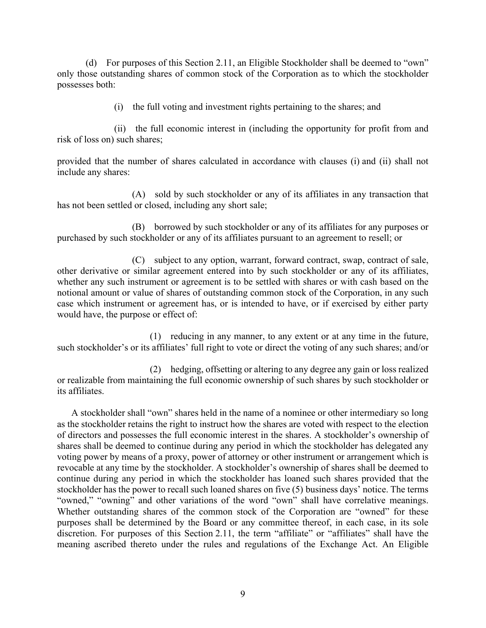(d) For purposes of this Section 2.11, an Eligible Stockholder shall be deemed to "own" only those outstanding shares of common stock of the Corporation as to which the stockholder possesses both:

(i) the full voting and investment rights pertaining to the shares; and

(ii) the full economic interest in (including the opportunity for profit from and risk of loss on) such shares;

provided that the number of shares calculated in accordance with clauses (i) and (ii) shall not include any shares:

(A) sold by such stockholder or any of its affiliates in any transaction that has not been settled or closed, including any short sale;

(B) borrowed by such stockholder or any of its affiliates for any purposes or purchased by such stockholder or any of its affiliates pursuant to an agreement to resell; or

(C) subject to any option, warrant, forward contract, swap, contract of sale, other derivative or similar agreement entered into by such stockholder or any of its affiliates, whether any such instrument or agreement is to be settled with shares or with cash based on the notional amount or value of shares of outstanding common stock of the Corporation, in any such case which instrument or agreement has, or is intended to have, or if exercised by either party would have, the purpose or effect of:

(1) reducing in any manner, to any extent or at any time in the future, such stockholder's or its affiliates' full right to vote or direct the voting of any such shares; and/or

(2) hedging, offsetting or altering to any degree any gain or loss realized or realizable from maintaining the full economic ownership of such shares by such stockholder or its affiliates.

A stockholder shall "own" shares held in the name of a nominee or other intermediary so long as the stockholder retains the right to instruct how the shares are voted with respect to the election of directors and possesses the full economic interest in the shares. A stockholder's ownership of shares shall be deemed to continue during any period in which the stockholder has delegated any voting power by means of a proxy, power of attorney or other instrument or arrangement which is revocable at any time by the stockholder. A stockholder's ownership of shares shall be deemed to continue during any period in which the stockholder has loaned such shares provided that the stockholder has the power to recall such loaned shares on five (5) business days' notice. The terms "owned," "owning" and other variations of the word "own" shall have correlative meanings. Whether outstanding shares of the common stock of the Corporation are "owned" for these purposes shall be determined by the Board or any committee thereof, in each case, in its sole discretion. For purposes of this Section 2.11, the term "affiliate" or "affiliates" shall have the meaning ascribed thereto under the rules and regulations of the Exchange Act. An Eligible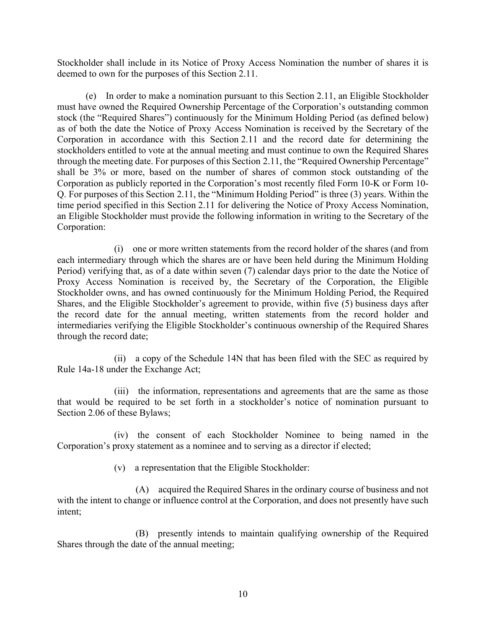Stockholder shall include in its Notice of Proxy Access Nomination the number of shares it is deemed to own for the purposes of this Section 2.11.

(e) In order to make a nomination pursuant to this Section 2.11, an Eligible Stockholder must have owned the Required Ownership Percentage of the Corporation's outstanding common stock (the "Required Shares") continuously for the Minimum Holding Period (as defined below) as of both the date the Notice of Proxy Access Nomination is received by the Secretary of the Corporation in accordance with this Section 2.11 and the record date for determining the stockholders entitled to vote at the annual meeting and must continue to own the Required Shares through the meeting date. For purposes of this Section 2.11, the "Required Ownership Percentage" shall be 3% or more, based on the number of shares of common stock outstanding of the Corporation as publicly reported in the Corporation's most recently filed Form 10-K or Form 10- Q. For purposes of this Section 2.11, the "Minimum Holding Period" is three (3) years. Within the time period specified in this Section 2.11 for delivering the Notice of Proxy Access Nomination, an Eligible Stockholder must provide the following information in writing to the Secretary of the Corporation:

(i) one or more written statements from the record holder of the shares (and from each intermediary through which the shares are or have been held during the Minimum Holding Period) verifying that, as of a date within seven (7) calendar days prior to the date the Notice of Proxy Access Nomination is received by, the Secretary of the Corporation, the Eligible Stockholder owns, and has owned continuously for the Minimum Holding Period, the Required Shares, and the Eligible Stockholder's agreement to provide, within five (5) business days after the record date for the annual meeting, written statements from the record holder and intermediaries verifying the Eligible Stockholder's continuous ownership of the Required Shares through the record date;

(ii) a copy of the Schedule 14N that has been filed with the SEC as required by Rule 14a-18 under the Exchange Act;

(iii) the information, representations and agreements that are the same as those that would be required to be set forth in a stockholder's notice of nomination pursuant to Section 2.06 of these Bylaws;

(iv) the consent of each Stockholder Nominee to being named in the Corporation's proxy statement as a nominee and to serving as a director if elected;

(v) a representation that the Eligible Stockholder:

(A) acquired the Required Shares in the ordinary course of business and not with the intent to change or influence control at the Corporation, and does not presently have such intent;

(B) presently intends to maintain qualifying ownership of the Required Shares through the date of the annual meeting;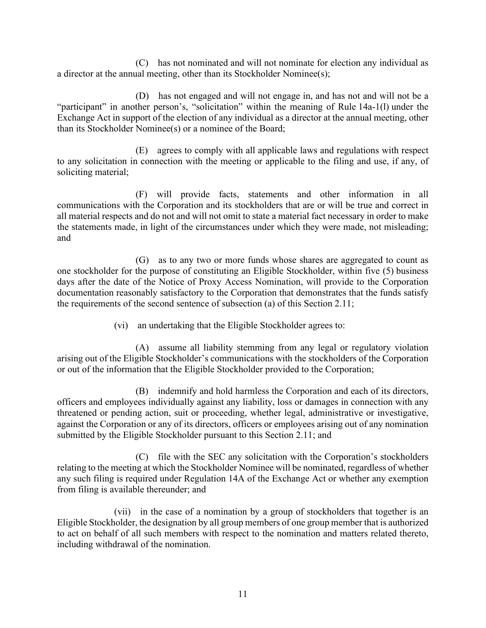(C) has not nominated and will not nominate for election any individual as a director at the annual meeting, other than its Stockholder Nominee(s);

(D) has not engaged and will not engage in, and has not and will not be a "participant" in another person's, "solicitation" within the meaning of Rule 14a-1(l) under the Exchange Act in support of the election of any individual as a director at the annual meeting, other than its Stockholder Nominee(s) or a nominee of the Board;

(E) agrees to comply with all applicable laws and regulations with respect to any solicitation in connection with the meeting or applicable to the filing and use, if any, of soliciting material;

(F) will provide facts, statements and other information in all communications with the Corporation and its stockholders that are or will be true and correct in all material respects and do not and will not omit to state a material fact necessary in order to make the statements made, in light of the circumstances under which they were made, not misleading; and

(G) as to any two or more funds whose shares are aggregated to count as one stockholder for the purpose of constituting an Eligible Stockholder, within five (5) business days after the date of the Notice of Proxy Access Nomination, will provide to the Corporation documentation reasonably satisfactory to the Corporation that demonstrates that the funds satisfy the requirements of the second sentence of subsection (a) of this Section 2.11;

(vi) an undertaking that the Eligible Stockholder agrees to:

(A) assume all liability stemming from any legal or regulatory violation arising out of the Eligible Stockholder's communications with the stockholders of the Corporation or out of the information that the Eligible Stockholder provided to the Corporation;

(B) indemnify and hold harmless the Corporation and each of its directors, officers and employees individually against any liability, loss or damages in connection with any threatened or pending action, suit or proceeding, whether legal, administrative or investigative, against the Corporation or any of its directors, officers or employees arising out of any nomination submitted by the Eligible Stockholder pursuant to this Section 2.11; and

(C) file with the SEC any solicitation with the Corporation's stockholders relating to the meeting at which the Stockholder Nominee will be nominated, regardless of whether any such filing is required under Regulation 14A of the Exchange Act or whether any exemption from filing is available thereunder; and

(vii) in the case of a nomination by a group of stockholders that together is an Eligible Stockholder, the designation by all group members of one group member that is authorized to act on behalf of all such members with respect to the nomination and matters related thereto, including withdrawal of the nomination.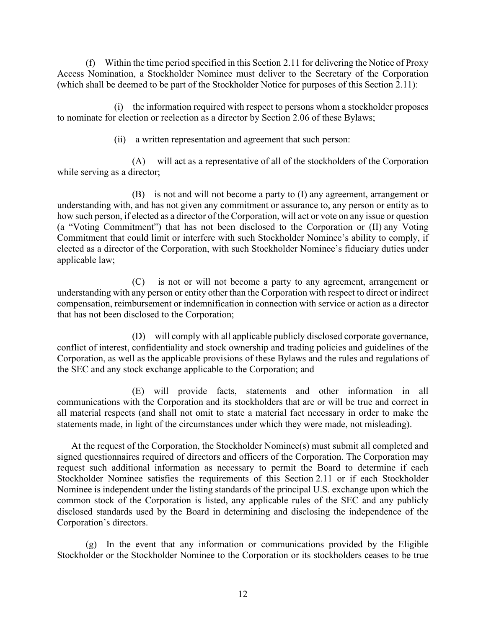(f) Within the time period specified in this Section 2.11 for delivering the Notice of Proxy Access Nomination, a Stockholder Nominee must deliver to the Secretary of the Corporation (which shall be deemed to be part of the Stockholder Notice for purposes of this Section 2.11):

(i) the information required with respect to persons whom a stockholder proposes to nominate for election or reelection as a director by Section 2.06 of these Bylaws;

(ii) a written representation and agreement that such person:

(A) will act as a representative of all of the stockholders of the Corporation while serving as a director;

(B) is not and will not become a party to (I) any agreement, arrangement or understanding with, and has not given any commitment or assurance to, any person or entity as to how such person, if elected as a director of the Corporation, will act or vote on any issue or question (a "Voting Commitment") that has not been disclosed to the Corporation or (II) any Voting Commitment that could limit or interfere with such Stockholder Nominee's ability to comply, if elected as a director of the Corporation, with such Stockholder Nominee's fiduciary duties under applicable law;

(C) is not or will not become a party to any agreement, arrangement or understanding with any person or entity other than the Corporation with respect to direct or indirect compensation, reimbursement or indemnification in connection with service or action as a director that has not been disclosed to the Corporation;

(D) will comply with all applicable publicly disclosed corporate governance, conflict of interest, confidentiality and stock ownership and trading policies and guidelines of the Corporation, as well as the applicable provisions of these Bylaws and the rules and regulations of the SEC and any stock exchange applicable to the Corporation; and

(E) will provide facts, statements and other information in all communications with the Corporation and its stockholders that are or will be true and correct in all material respects (and shall not omit to state a material fact necessary in order to make the statements made, in light of the circumstances under which they were made, not misleading).

At the request of the Corporation, the Stockholder Nominee(s) must submit all completed and signed questionnaires required of directors and officers of the Corporation. The Corporation may request such additional information as necessary to permit the Board to determine if each Stockholder Nominee satisfies the requirements of this Section 2.11 or if each Stockholder Nominee is independent under the listing standards of the principal U.S. exchange upon which the common stock of the Corporation is listed, any applicable rules of the SEC and any publicly disclosed standards used by the Board in determining and disclosing the independence of the Corporation's directors.

(g) In the event that any information or communications provided by the Eligible Stockholder or the Stockholder Nominee to the Corporation or its stockholders ceases to be true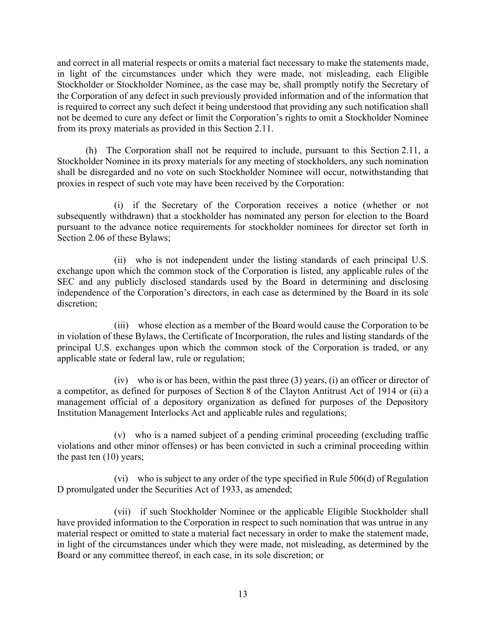and correct in all material respects or omits a material fact necessary to make the statements made, in light of the circumstances under which they were made, not misleading, each Eligible Stockholder or Stockholder Nominee, as the case may be, shall promptly notify the Secretary of the Corporation of any defect in such previously provided information and of the information that is required to correct any such defect it being understood that providing any such notification shall not be deemed to cure any defect or limit the Corporation's rights to omit a Stockholder Nominee from its proxy materials as provided in this Section 2.11.

(h) The Corporation shall not be required to include, pursuant to this Section 2.11, a Stockholder Nominee in its proxy materials for any meeting of stockholders, any such nomination shall be disregarded and no vote on such Stockholder Nominee will occur, notwithstanding that proxies in respect of such vote may have been received by the Corporation:

(i) if the Secretary of the Corporation receives a notice (whether or not subsequently withdrawn) that a stockholder has nominated any person for election to the Board pursuant to the advance notice requirements for stockholder nominees for director set forth in Section 2.06 of these Bylaws;

(ii) who is not independent under the listing standards of each principal U.S. exchange upon which the common stock of the Corporation is listed, any applicable rules of the SEC and any publicly disclosed standards used by the Board in determining and disclosing independence of the Corporation's directors, in each case as determined by the Board in its sole discretion;

(iii) whose election as a member of the Board would cause the Corporation to be in violation of these Bylaws, the Certificate of Incorporation, the rules and listing standards of the principal U.S. exchanges upon which the common stock of the Corporation is traded, or any applicable state or federal law, rule or regulation;

(iv) who is or has been, within the past three (3) years, (i) an officer or director of a competitor, as defined for purposes of Section 8 of the Clayton Antitrust Act of 1914 or (ii) a management official of a depository organization as defined for purposes of the Depository Institution Management Interlocks Act and applicable rules and regulations;

(v) who is a named subject of a pending criminal proceeding (excluding traffic violations and other minor offenses) or has been convicted in such a criminal proceeding within the past ten (10) years;

(vi) who is subject to any order of the type specified in Rule 506(d) of Regulation D promulgated under the Securities Act of 1933, as amended;

(vii) if such Stockholder Nominee or the applicable Eligible Stockholder shall have provided information to the Corporation in respect to such nomination that was untrue in any material respect or omitted to state a material fact necessary in order to make the statement made, in light of the circumstances under which they were made, not misleading, as determined by the Board or any committee thereof, in each case, in its sole discretion; or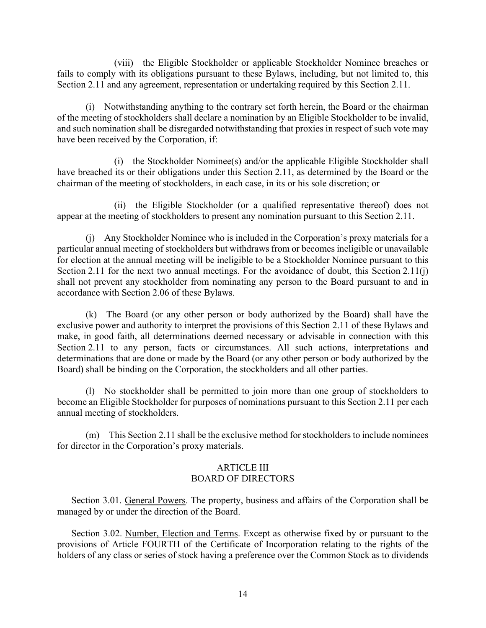(viii) the Eligible Stockholder or applicable Stockholder Nominee breaches or fails to comply with its obligations pursuant to these Bylaws, including, but not limited to, this Section 2.11 and any agreement, representation or undertaking required by this Section 2.11.

(i) Notwithstanding anything to the contrary set forth herein, the Board or the chairman of the meeting of stockholders shall declare a nomination by an Eligible Stockholder to be invalid, and such nomination shall be disregarded notwithstanding that proxies in respect of such vote may have been received by the Corporation, if:

(i) the Stockholder Nominee(s) and/or the applicable Eligible Stockholder shall have breached its or their obligations under this Section 2.11, as determined by the Board or the chairman of the meeting of stockholders, in each case, in its or his sole discretion; or

(ii) the Eligible Stockholder (or a qualified representative thereof) does not appear at the meeting of stockholders to present any nomination pursuant to this Section 2.11.

(j) Any Stockholder Nominee who is included in the Corporation's proxy materials for a particular annual meeting of stockholders but withdraws from or becomes ineligible or unavailable for election at the annual meeting will be ineligible to be a Stockholder Nominee pursuant to this Section 2.11 for the next two annual meetings. For the avoidance of doubt, this Section 2.11(j) shall not prevent any stockholder from nominating any person to the Board pursuant to and in accordance with Section 2.06 of these Bylaws.

(k) The Board (or any other person or body authorized by the Board) shall have the exclusive power and authority to interpret the provisions of this Section 2.11 of these Bylaws and make, in good faith, all determinations deemed necessary or advisable in connection with this Section 2.11 to any person, facts or circumstances. All such actions, interpretations and determinations that are done or made by the Board (or any other person or body authorized by the Board) shall be binding on the Corporation, the stockholders and all other parties.

(l) No stockholder shall be permitted to join more than one group of stockholders to become an Eligible Stockholder for purposes of nominations pursuant to this Section 2.11 per each annual meeting of stockholders.

(m) This Section 2.11 shall be the exclusive method for stockholders to include nominees for director in the Corporation's proxy materials.

### ARTICLE III BOARD OF DIRECTORS

Section 3.01. General Powers. The property, business and affairs of the Corporation shall be managed by or under the direction of the Board.

Section 3.02. Number, Election and Terms. Except as otherwise fixed by or pursuant to the provisions of Article FOURTH of the Certificate of Incorporation relating to the rights of the holders of any class or series of stock having a preference over the Common Stock as to dividends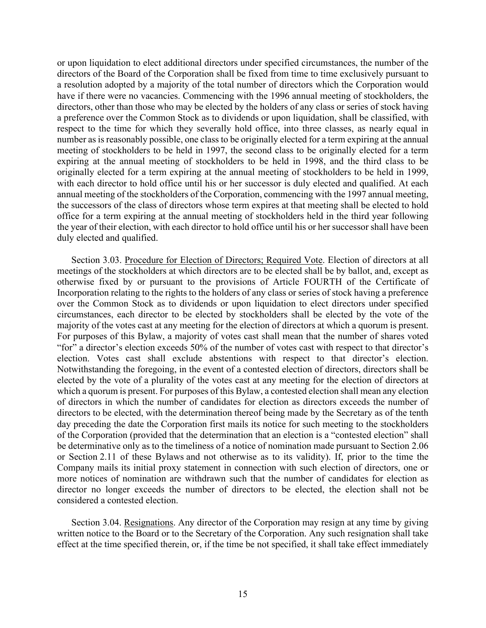or upon liquidation to elect additional directors under specified circumstances, the number of the directors of the Board of the Corporation shall be fixed from time to time exclusively pursuant to a resolution adopted by a majority of the total number of directors which the Corporation would have if there were no vacancies. Commencing with the 1996 annual meeting of stockholders, the directors, other than those who may be elected by the holders of any class or series of stock having a preference over the Common Stock as to dividends or upon liquidation, shall be classified, with respect to the time for which they severally hold office, into three classes, as nearly equal in number as is reasonably possible, one class to be originally elected for a term expiring at the annual meeting of stockholders to be held in 1997, the second class to be originally elected for a term expiring at the annual meeting of stockholders to be held in 1998, and the third class to be originally elected for a term expiring at the annual meeting of stockholders to be held in 1999, with each director to hold office until his or her successor is duly elected and qualified. At each annual meeting of the stockholders of the Corporation, commencing with the 1997 annual meeting, the successors of the class of directors whose term expires at that meeting shall be elected to hold office for a term expiring at the annual meeting of stockholders held in the third year following the year of their election, with each director to hold office until his or her successor shall have been duly elected and qualified.

Section 3.03. Procedure for Election of Directors; Required Vote. Election of directors at all meetings of the stockholders at which directors are to be elected shall be by ballot, and, except as otherwise fixed by or pursuant to the provisions of Article FOURTH of the Certificate of Incorporation relating to the rights to the holders of any class or series of stock having a preference over the Common Stock as to dividends or upon liquidation to elect directors under specified circumstances, each director to be elected by stockholders shall be elected by the vote of the majority of the votes cast at any meeting for the election of directors at which a quorum is present. For purposes of this Bylaw, a majority of votes cast shall mean that the number of shares voted "for" a director's election exceeds 50% of the number of votes cast with respect to that director's election. Votes cast shall exclude abstentions with respect to that director's election. Notwithstanding the foregoing, in the event of a contested election of directors, directors shall be elected by the vote of a plurality of the votes cast at any meeting for the election of directors at which a quorum is present. For purposes of this Bylaw, a contested election shall mean any election of directors in which the number of candidates for election as directors exceeds the number of directors to be elected, with the determination thereof being made by the Secretary as of the tenth day preceding the date the Corporation first mails its notice for such meeting to the stockholders of the Corporation (provided that the determination that an election is a "contested election" shall be determinative only as to the timeliness of a notice of nomination made pursuant to Section 2.06 or Section 2.11 of these Bylaws and not otherwise as to its validity). If, prior to the time the Company mails its initial proxy statement in connection with such election of directors, one or more notices of nomination are withdrawn such that the number of candidates for election as director no longer exceeds the number of directors to be elected, the election shall not be considered a contested election.

Section 3.04. Resignations. Any director of the Corporation may resign at any time by giving written notice to the Board or to the Secretary of the Corporation. Any such resignation shall take effect at the time specified therein, or, if the time be not specified, it shall take effect immediately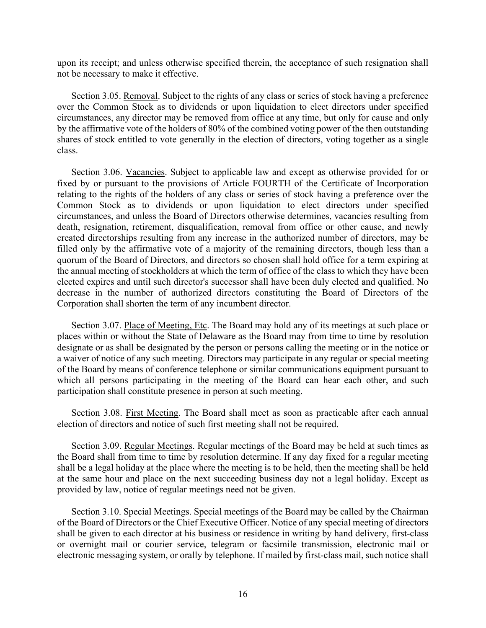upon its receipt; and unless otherwise specified therein, the acceptance of such resignation shall not be necessary to make it effective.

Section 3.05. Removal. Subject to the rights of any class or series of stock having a preference over the Common Stock as to dividends or upon liquidation to elect directors under specified circumstances, any director may be removed from office at any time, but only for cause and only by the affirmative vote of the holders of 80% of the combined voting power of the then outstanding shares of stock entitled to vote generally in the election of directors, voting together as a single class.

Section 3.06. Vacancies. Subject to applicable law and except as otherwise provided for or fixed by or pursuant to the provisions of Article FOURTH of the Certificate of Incorporation relating to the rights of the holders of any class or series of stock having a preference over the Common Stock as to dividends or upon liquidation to elect directors under specified circumstances, and unless the Board of Directors otherwise determines, vacancies resulting from death, resignation, retirement, disqualification, removal from office or other cause, and newly created directorships resulting from any increase in the authorized number of directors, may be filled only by the affirmative vote of a majority of the remaining directors, though less than a quorum of the Board of Directors, and directors so chosen shall hold office for a term expiring at the annual meeting of stockholders at which the term of office of the class to which they have been elected expires and until such director's successor shall have been duly elected and qualified. No decrease in the number of authorized directors constituting the Board of Directors of the Corporation shall shorten the term of any incumbent director.

Section 3.07. Place of Meeting, Etc. The Board may hold any of its meetings at such place or places within or without the State of Delaware as the Board may from time to time by resolution designate or as shall be designated by the person or persons calling the meeting or in the notice or a waiver of notice of any such meeting. Directors may participate in any regular or special meeting of the Board by means of conference telephone or similar communications equipment pursuant to which all persons participating in the meeting of the Board can hear each other, and such participation shall constitute presence in person at such meeting.

Section 3.08. First Meeting. The Board shall meet as soon as practicable after each annual election of directors and notice of such first meeting shall not be required.

Section 3.09. Regular Meetings. Regular meetings of the Board may be held at such times as the Board shall from time to time by resolution determine. If any day fixed for a regular meeting shall be a legal holiday at the place where the meeting is to be held, then the meeting shall be held at the same hour and place on the next succeeding business day not a legal holiday. Except as provided by law, notice of regular meetings need not be given.

Section 3.10. Special Meetings. Special meetings of the Board may be called by the Chairman of the Board of Directors or the Chief Executive Officer. Notice of any special meeting of directors shall be given to each director at his business or residence in writing by hand delivery, first-class or overnight mail or courier service, telegram or facsimile transmission, electronic mail or electronic messaging system, or orally by telephone. If mailed by first-class mail, such notice shall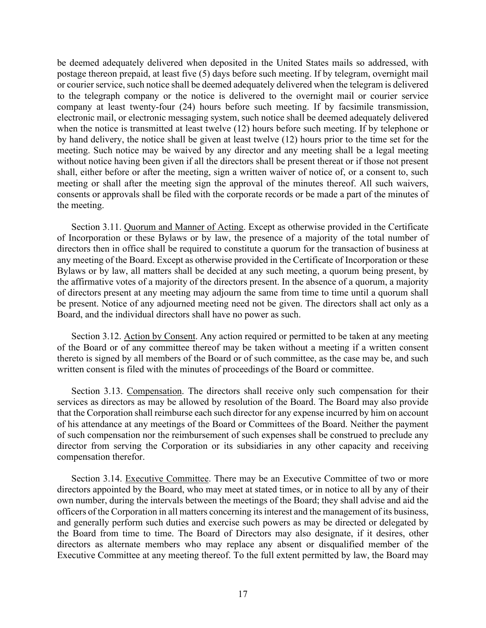be deemed adequately delivered when deposited in the United States mails so addressed, with postage thereon prepaid, at least five (5) days before such meeting. If by telegram, overnight mail or courier service, such notice shall be deemed adequately delivered when the telegram is delivered to the telegraph company or the notice is delivered to the overnight mail or courier service company at least twenty-four (24) hours before such meeting. If by facsimile transmission, electronic mail, or electronic messaging system, such notice shall be deemed adequately delivered when the notice is transmitted at least twelve (12) hours before such meeting. If by telephone or by hand delivery, the notice shall be given at least twelve (12) hours prior to the time set for the meeting. Such notice may be waived by any director and any meeting shall be a legal meeting without notice having been given if all the directors shall be present thereat or if those not present shall, either before or after the meeting, sign a written waiver of notice of, or a consent to, such meeting or shall after the meeting sign the approval of the minutes thereof. All such waivers, consents or approvals shall be filed with the corporate records or be made a part of the minutes of the meeting.

Section 3.11. Quorum and Manner of Acting. Except as otherwise provided in the Certificate of Incorporation or these Bylaws or by law, the presence of a majority of the total number of directors then in office shall be required to constitute a quorum for the transaction of business at any meeting of the Board. Except as otherwise provided in the Certificate of Incorporation or these Bylaws or by law, all matters shall be decided at any such meeting, a quorum being present, by the affirmative votes of a majority of the directors present. In the absence of a quorum, a majority of directors present at any meeting may adjourn the same from time to time until a quorum shall be present. Notice of any adjourned meeting need not be given. The directors shall act only as a Board, and the individual directors shall have no power as such.

Section 3.12. Action by Consent. Any action required or permitted to be taken at any meeting of the Board or of any committee thereof may be taken without a meeting if a written consent thereto is signed by all members of the Board or of such committee, as the case may be, and such written consent is filed with the minutes of proceedings of the Board or committee.

Section 3.13. Compensation. The directors shall receive only such compensation for their services as directors as may be allowed by resolution of the Board. The Board may also provide that the Corporation shall reimburse each such director for any expense incurred by him on account of his attendance at any meetings of the Board or Committees of the Board. Neither the payment of such compensation nor the reimbursement of such expenses shall be construed to preclude any director from serving the Corporation or its subsidiaries in any other capacity and receiving compensation therefor.

Section 3.14. Executive Committee. There may be an Executive Committee of two or more directors appointed by the Board, who may meet at stated times, or in notice to all by any of their own number, during the intervals between the meetings of the Board; they shall advise and aid the officers of the Corporation in all matters concerning its interest and the management of its business, and generally perform such duties and exercise such powers as may be directed or delegated by the Board from time to time. The Board of Directors may also designate, if it desires, other directors as alternate members who may replace any absent or disqualified member of the Executive Committee at any meeting thereof. To the full extent permitted by law, the Board may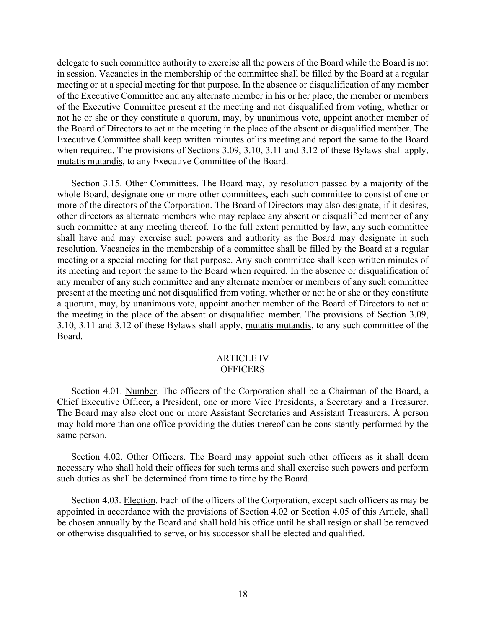delegate to such committee authority to exercise all the powers of the Board while the Board is not in session. Vacancies in the membership of the committee shall be filled by the Board at a regular meeting or at a special meeting for that purpose. In the absence or disqualification of any member of the Executive Committee and any alternate member in his or her place, the member or members of the Executive Committee present at the meeting and not disqualified from voting, whether or not he or she or they constitute a quorum, may, by unanimous vote, appoint another member of the Board of Directors to act at the meeting in the place of the absent or disqualified member. The Executive Committee shall keep written minutes of its meeting and report the same to the Board when required. The provisions of Sections 3.09, 3.10, 3.11 and 3.12 of these Bylaws shall apply, mutatis mutandis, to any Executive Committee of the Board.

Section 3.15. Other Committees. The Board may, by resolution passed by a majority of the whole Board, designate one or more other committees, each such committee to consist of one or more of the directors of the Corporation. The Board of Directors may also designate, if it desires, other directors as alternate members who may replace any absent or disqualified member of any such committee at any meeting thereof. To the full extent permitted by law, any such committee shall have and may exercise such powers and authority as the Board may designate in such resolution. Vacancies in the membership of a committee shall be filled by the Board at a regular meeting or a special meeting for that purpose. Any such committee shall keep written minutes of its meeting and report the same to the Board when required. In the absence or disqualification of any member of any such committee and any alternate member or members of any such committee present at the meeting and not disqualified from voting, whether or not he or she or they constitute a quorum, may, by unanimous vote, appoint another member of the Board of Directors to act at the meeting in the place of the absent or disqualified member. The provisions of Section 3.09, 3.10, 3.11 and 3.12 of these Bylaws shall apply, mutatis mutandis, to any such committee of the Board.

#### ARTICLE IV **OFFICERS**

Section 4.01. Number. The officers of the Corporation shall be a Chairman of the Board, a Chief Executive Officer, a President, one or more Vice Presidents, a Secretary and a Treasurer. The Board may also elect one or more Assistant Secretaries and Assistant Treasurers. A person may hold more than one office providing the duties thereof can be consistently performed by the same person.

Section 4.02. Other Officers. The Board may appoint such other officers as it shall deem necessary who shall hold their offices for such terms and shall exercise such powers and perform such duties as shall be determined from time to time by the Board.

Section 4.03. Election. Each of the officers of the Corporation, except such officers as may be appointed in accordance with the provisions of Section 4.02 or Section 4.05 of this Article, shall be chosen annually by the Board and shall hold his office until he shall resign or shall be removed or otherwise disqualified to serve, or his successor shall be elected and qualified.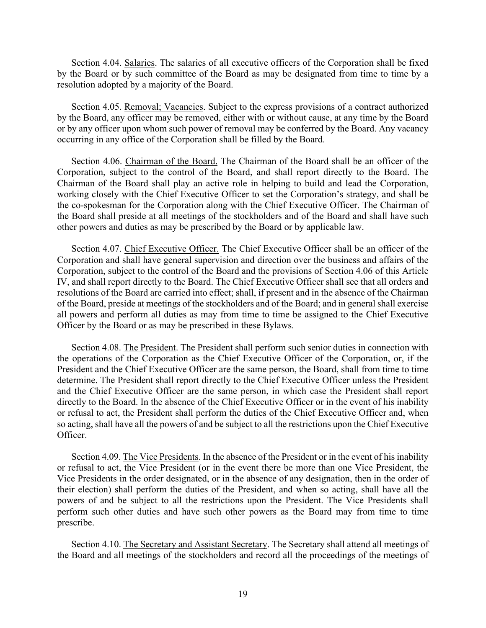Section 4.04. Salaries. The salaries of all executive officers of the Corporation shall be fixed by the Board or by such committee of the Board as may be designated from time to time by a resolution adopted by a majority of the Board.

Section 4.05. Removal; Vacancies. Subject to the express provisions of a contract authorized by the Board, any officer may be removed, either with or without cause, at any time by the Board or by any officer upon whom such power of removal may be conferred by the Board. Any vacancy occurring in any office of the Corporation shall be filled by the Board.

Section 4.06. Chairman of the Board. The Chairman of the Board shall be an officer of the Corporation, subject to the control of the Board, and shall report directly to the Board. The Chairman of the Board shall play an active role in helping to build and lead the Corporation, working closely with the Chief Executive Officer to set the Corporation's strategy, and shall be the co-spokesman for the Corporation along with the Chief Executive Officer. The Chairman of the Board shall preside at all meetings of the stockholders and of the Board and shall have such other powers and duties as may be prescribed by the Board or by applicable law.

Section 4.07. Chief Executive Officer. The Chief Executive Officer shall be an officer of the Corporation and shall have general supervision and direction over the business and affairs of the Corporation, subject to the control of the Board and the provisions of Section 4.06 of this Article IV, and shall report directly to the Board. The Chief Executive Officer shall see that all orders and resolutions of the Board are carried into effect; shall, if present and in the absence of the Chairman of the Board, preside at meetings of the stockholders and of the Board; and in general shall exercise all powers and perform all duties as may from time to time be assigned to the Chief Executive Officer by the Board or as may be prescribed in these Bylaws.

Section 4.08. The President. The President shall perform such senior duties in connection with the operations of the Corporation as the Chief Executive Officer of the Corporation, or, if the President and the Chief Executive Officer are the same person, the Board, shall from time to time determine. The President shall report directly to the Chief Executive Officer unless the President and the Chief Executive Officer are the same person, in which case the President shall report directly to the Board. In the absence of the Chief Executive Officer or in the event of his inability or refusal to act, the President shall perform the duties of the Chief Executive Officer and, when so acting, shall have all the powers of and be subject to all the restrictions upon the Chief Executive Officer.

Section 4.09. The Vice Presidents. In the absence of the President or in the event of his inability or refusal to act, the Vice President (or in the event there be more than one Vice President, the Vice Presidents in the order designated, or in the absence of any designation, then in the order of their election) shall perform the duties of the President, and when so acting, shall have all the powers of and be subject to all the restrictions upon the President. The Vice Presidents shall perform such other duties and have such other powers as the Board may from time to time prescribe.

Section 4.10. The Secretary and Assistant Secretary. The Secretary shall attend all meetings of the Board and all meetings of the stockholders and record all the proceedings of the meetings of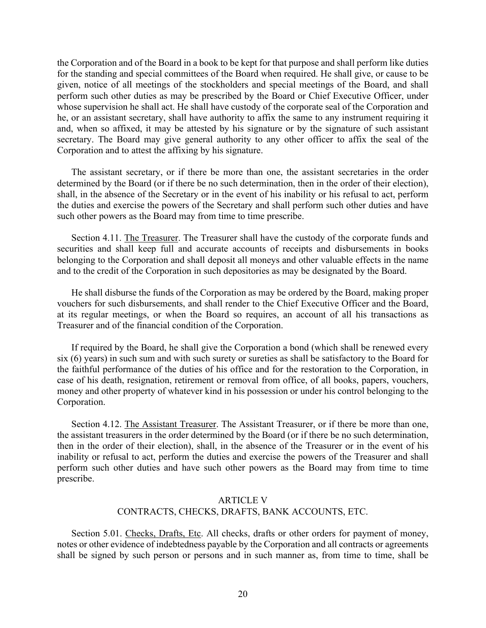the Corporation and of the Board in a book to be kept for that purpose and shall perform like duties for the standing and special committees of the Board when required. He shall give, or cause to be given, notice of all meetings of the stockholders and special meetings of the Board, and shall perform such other duties as may be prescribed by the Board or Chief Executive Officer, under whose supervision he shall act. He shall have custody of the corporate seal of the Corporation and he, or an assistant secretary, shall have authority to affix the same to any instrument requiring it and, when so affixed, it may be attested by his signature or by the signature of such assistant secretary. The Board may give general authority to any other officer to affix the seal of the Corporation and to attest the affixing by his signature.

The assistant secretary, or if there be more than one, the assistant secretaries in the order determined by the Board (or if there be no such determination, then in the order of their election), shall, in the absence of the Secretary or in the event of his inability or his refusal to act, perform the duties and exercise the powers of the Secretary and shall perform such other duties and have such other powers as the Board may from time to time prescribe.

Section 4.11. The Treasurer. The Treasurer shall have the custody of the corporate funds and securities and shall keep full and accurate accounts of receipts and disbursements in books belonging to the Corporation and shall deposit all moneys and other valuable effects in the name and to the credit of the Corporation in such depositories as may be designated by the Board.

He shall disburse the funds of the Corporation as may be ordered by the Board, making proper vouchers for such disbursements, and shall render to the Chief Executive Officer and the Board, at its regular meetings, or when the Board so requires, an account of all his transactions as Treasurer and of the financial condition of the Corporation.

If required by the Board, he shall give the Corporation a bond (which shall be renewed every six (6) years) in such sum and with such surety or sureties as shall be satisfactory to the Board for the faithful performance of the duties of his office and for the restoration to the Corporation, in case of his death, resignation, retirement or removal from office, of all books, papers, vouchers, money and other property of whatever kind in his possession or under his control belonging to the Corporation.

Section 4.12. The Assistant Treasurer. The Assistant Treasurer, or if there be more than one, the assistant treasurers in the order determined by the Board (or if there be no such determination, then in the order of their election), shall, in the absence of the Treasurer or in the event of his inability or refusal to act, perform the duties and exercise the powers of the Treasurer and shall perform such other duties and have such other powers as the Board may from time to time prescribe.

# ARTICLE V CONTRACTS, CHECKS, DRAFTS, BANK ACCOUNTS, ETC.

Section 5.01. Checks, Drafts, Etc. All checks, drafts or other orders for payment of money, notes or other evidence of indebtedness payable by the Corporation and all contracts or agreements shall be signed by such person or persons and in such manner as, from time to time, shall be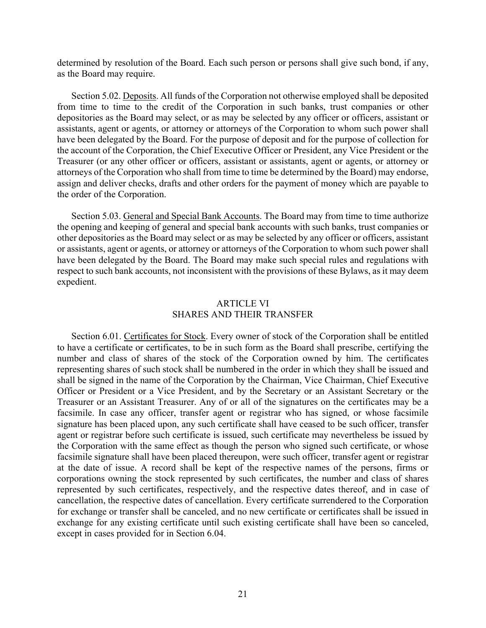determined by resolution of the Board. Each such person or persons shall give such bond, if any, as the Board may require.

Section 5.02. Deposits. All funds of the Corporation not otherwise employed shall be deposited from time to time to the credit of the Corporation in such banks, trust companies or other depositories as the Board may select, or as may be selected by any officer or officers, assistant or assistants, agent or agents, or attorney or attorneys of the Corporation to whom such power shall have been delegated by the Board. For the purpose of deposit and for the purpose of collection for the account of the Corporation, the Chief Executive Officer or President, any Vice President or the Treasurer (or any other officer or officers, assistant or assistants, agent or agents, or attorney or attorneys of the Corporation who shall from time to time be determined by the Board) may endorse, assign and deliver checks, drafts and other orders for the payment of money which are payable to the order of the Corporation.

Section 5.03. General and Special Bank Accounts. The Board may from time to time authorize the opening and keeping of general and special bank accounts with such banks, trust companies or other depositories as the Board may select or as may be selected by any officer or officers, assistant or assistants, agent or agents, or attorney or attorneys of the Corporation to whom such power shall have been delegated by the Board. The Board may make such special rules and regulations with respect to such bank accounts, not inconsistent with the provisions of these Bylaws, as it may deem expedient.

### ARTICLE VI SHARES AND THEIR TRANSFER

Section 6.01. Certificates for Stock. Every owner of stock of the Corporation shall be entitled to have a certificate or certificates, to be in such form as the Board shall prescribe, certifying the number and class of shares of the stock of the Corporation owned by him. The certificates representing shares of such stock shall be numbered in the order in which they shall be issued and shall be signed in the name of the Corporation by the Chairman, Vice Chairman, Chief Executive Officer or President or a Vice President, and by the Secretary or an Assistant Secretary or the Treasurer or an Assistant Treasurer. Any of or all of the signatures on the certificates may be a facsimile. In case any officer, transfer agent or registrar who has signed, or whose facsimile signature has been placed upon, any such certificate shall have ceased to be such officer, transfer agent or registrar before such certificate is issued, such certificate may nevertheless be issued by the Corporation with the same effect as though the person who signed such certificate, or whose facsimile signature shall have been placed thereupon, were such officer, transfer agent or registrar at the date of issue. A record shall be kept of the respective names of the persons, firms or corporations owning the stock represented by such certificates, the number and class of shares represented by such certificates, respectively, and the respective dates thereof, and in case of cancellation, the respective dates of cancellation. Every certificate surrendered to the Corporation for exchange or transfer shall be canceled, and no new certificate or certificates shall be issued in exchange for any existing certificate until such existing certificate shall have been so canceled, except in cases provided for in Section 6.04.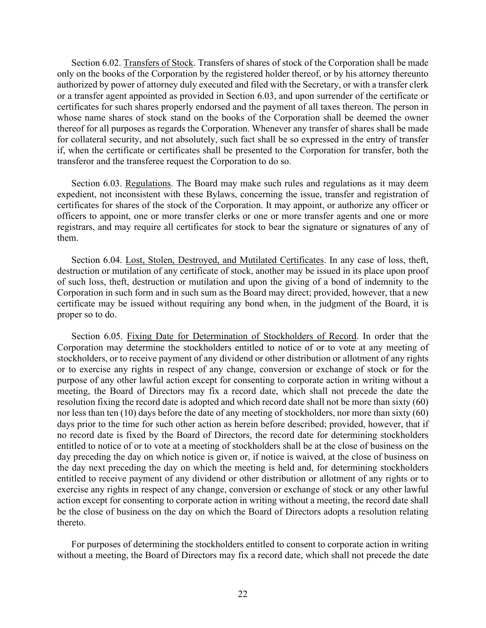Section 6.02. Transfers of Stock. Transfers of shares of stock of the Corporation shall be made only on the books of the Corporation by the registered holder thereof, or by his attorney thereunto authorized by power of attorney duly executed and filed with the Secretary, or with a transfer clerk or a transfer agent appointed as provided in Section 6.03, and upon surrender of the certificate or certificates for such shares properly endorsed and the payment of all taxes thereon. The person in whose name shares of stock stand on the books of the Corporation shall be deemed the owner thereof for all purposes as regards the Corporation. Whenever any transfer of shares shall be made for collateral security, and not absolutely, such fact shall be so expressed in the entry of transfer if, when the certificate or certificates shall be presented to the Corporation for transfer, both the transferor and the transferee request the Corporation to do so.

Section 6.03. Regulations. The Board may make such rules and regulations as it may deem expedient, not inconsistent with these Bylaws, concerning the issue, transfer and registration of certificates for shares of the stock of the Corporation. It may appoint, or authorize any officer or officers to appoint, one or more transfer clerks or one or more transfer agents and one or more registrars, and may require all certificates for stock to bear the signature or signatures of any of them.

Section 6.04. Lost, Stolen, Destroyed, and Mutilated Certificates. In any case of loss, theft, destruction or mutilation of any certificate of stock, another may be issued in its place upon proof of such loss, theft, destruction or mutilation and upon the giving of a bond of indemnity to the Corporation in such form and in such sum as the Board may direct; provided, however, that a new certificate may be issued without requiring any bond when, in the judgment of the Board, it is proper so to do.

Section 6.05. Fixing Date for Determination of Stockholders of Record. In order that the Corporation may determine the stockholders entitled to notice of or to vote at any meeting of stockholders, or to receive payment of any dividend or other distribution or allotment of any rights or to exercise any rights in respect of any change, conversion or exchange of stock or for the purpose of any other lawful action except for consenting to corporate action in writing without a meeting, the Board of Directors may fix a record date, which shall not precede the date the resolution fixing the record date is adopted and which record date shall not be more than sixty (60) nor less than ten (10) days before the date of any meeting of stockholders, nor more than sixty (60) days prior to the time for such other action as herein before described; provided, however, that if no record date is fixed by the Board of Directors, the record date for determining stockholders entitled to notice of or to vote at a meeting of stockholders shall be at the close of business on the day preceding the day on which notice is given or, if notice is waived, at the close of business on the day next preceding the day on which the meeting is held and, for determining stockholders entitled to receive payment of any dividend or other distribution or allotment of any rights or to exercise any rights in respect of any change, conversion or exchange of stock or any other lawful action except for consenting to corporate action in writing without a meeting, the record date shall be the close of business on the day on which the Board of Directors adopts a resolution relating thereto.

For purposes of determining the stockholders entitled to consent to corporate action in writing without a meeting, the Board of Directors may fix a record date, which shall not precede the date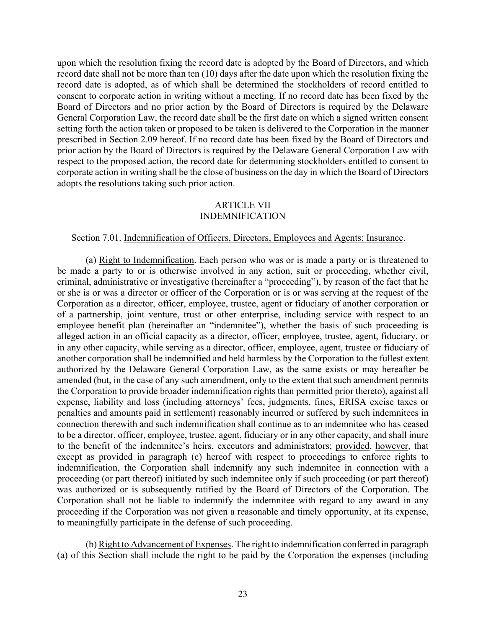upon which the resolution fixing the record date is adopted by the Board of Directors, and which record date shall not be more than ten (10) days after the date upon which the resolution fixing the record date is adopted, as of which shall be determined the stockholders of record entitled to consent to corporate action in writing without a meeting. If no record date has been fixed by the Board of Directors and no prior action by the Board of Directors is required by the Delaware General Corporation Law, the record date shall be the first date on which a signed written consent setting forth the action taken or proposed to be taken is delivered to the Corporation in the manner prescribed in Section 2.09 hereof. If no record date has been fixed by the Board of Directors and prior action by the Board of Directors is required by the Delaware General Corporation Law with respect to the proposed action, the record date for determining stockholders entitled to consent to corporate action in writing shall be the close of business on the day in which the Board of Directors adopts the resolutions taking such prior action.

# ARTICLE VII INDEMNIFICATION

#### Section 7.01. Indemnification of Officers, Directors, Employees and Agents; Insurance.

(a) Right to Indemnification. Each person who was or is made a party or is threatened to be made a party to or is otherwise involved in any action, suit or proceeding, whether civil, criminal, administrative or investigative (hereinafter a "proceeding"), by reason of the fact that he or she is or was a director or officer of the Corporation or is or was serving at the request of the Corporation as a director, officer, employee, trustee, agent or fiduciary of another corporation or of a partnership, joint venture, trust or other enterprise, including service with respect to an employee benefit plan (hereinafter an "indemnitee"), whether the basis of such proceeding is alleged action in an official capacity as a director, officer, employee, trustee, agent, fiduciary, or in any other capacity, while serving as a director, officer, employee, agent, trustee or fiduciary of another corporation shall be indemnified and held harmless by the Corporation to the fullest extent authorized by the Delaware General Corporation Law, as the same exists or may hereafter be amended (but, in the case of any such amendment, only to the extent that such amendment permits the Corporation to provide broader indemnification rights than permitted prior thereto), against all expense, liability and loss (including attorneys' fees, judgments, fines, ERISA excise taxes or penalties and amounts paid in settlement) reasonably incurred or suffered by such indemnitees in connection therewith and such indemnification shall continue as to an indemnitee who has ceased to be a director, officer, employee, trustee, agent, fiduciary or in any other capacity, and shall inure to the benefit of the indemnitee's heirs, executors and administrators; provided, however, that except as provided in paragraph (c) hereof with respect to proceedings to enforce rights to indemnification, the Corporation shall indemnify any such indemnitee in connection with a proceeding (or part thereof) initiated by such indemnitee only if such proceeding (or part thereof) was authorized or is subsequently ratified by the Board of Directors of the Corporation. The Corporation shall not be liable to indemnify the indemnitee with regard to any award in any proceeding if the Corporation was not given a reasonable and timely opportunity, at its expense, to meaningfully participate in the defense of such proceeding.

(b) Right to Advancement of Expenses. The right to indemnification conferred in paragraph (a) of this Section shall include the right to be paid by the Corporation the expenses (including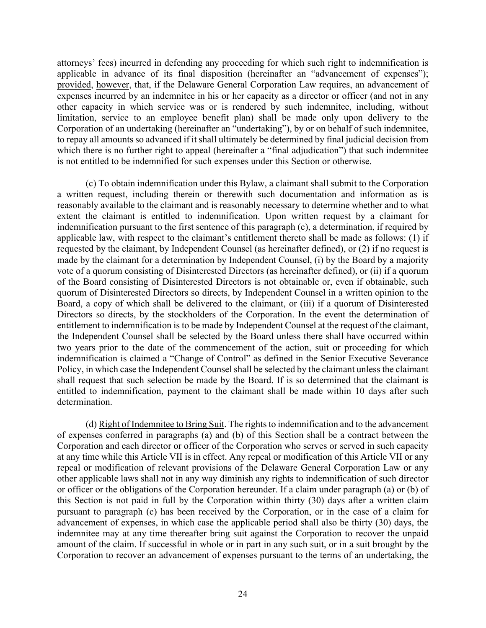attorneys' fees) incurred in defending any proceeding for which such right to indemnification is applicable in advance of its final disposition (hereinafter an "advancement of expenses"); provided, however, that, if the Delaware General Corporation Law requires, an advancement of expenses incurred by an indemnitee in his or her capacity as a director or officer (and not in any other capacity in which service was or is rendered by such indemnitee, including, without limitation, service to an employee benefit plan) shall be made only upon delivery to the Corporation of an undertaking (hereinafter an "undertaking"), by or on behalf of such indemnitee, to repay all amounts so advanced if it shall ultimately be determined by final judicial decision from which there is no further right to appeal (hereinafter a "final adjudication") that such indemnitee is not entitled to be indemnified for such expenses under this Section or otherwise.

(c) To obtain indemnification under this Bylaw, a claimant shall submit to the Corporation a written request, including therein or therewith such documentation and information as is reasonably available to the claimant and is reasonably necessary to determine whether and to what extent the claimant is entitled to indemnification. Upon written request by a claimant for indemnification pursuant to the first sentence of this paragraph (c), a determination, if required by applicable law, with respect to the claimant's entitlement thereto shall be made as follows: (1) if requested by the claimant, by Independent Counsel (as hereinafter defined), or (2) if no request is made by the claimant for a determination by Independent Counsel, (i) by the Board by a majority vote of a quorum consisting of Disinterested Directors (as hereinafter defined), or (ii) if a quorum of the Board consisting of Disinterested Directors is not obtainable or, even if obtainable, such quorum of Disinterested Directors so directs, by Independent Counsel in a written opinion to the Board, a copy of which shall be delivered to the claimant, or (iii) if a quorum of Disinterested Directors so directs, by the stockholders of the Corporation. In the event the determination of entitlement to indemnification is to be made by Independent Counsel at the request of the claimant, the Independent Counsel shall be selected by the Board unless there shall have occurred within two years prior to the date of the commencement of the action, suit or proceeding for which indemnification is claimed a "Change of Control" as defined in the Senior Executive Severance Policy, in which case the Independent Counsel shall be selected by the claimant unless the claimant shall request that such selection be made by the Board. If is so determined that the claimant is entitled to indemnification, payment to the claimant shall be made within 10 days after such determination.

(d) Right of Indemnitee to Bring Suit. The rights to indemnification and to the advancement of expenses conferred in paragraphs (a) and (b) of this Section shall be a contract between the Corporation and each director or officer of the Corporation who serves or served in such capacity at any time while this Article VII is in effect. Any repeal or modification of this Article VII or any repeal or modification of relevant provisions of the Delaware General Corporation Law or any other applicable laws shall not in any way diminish any rights to indemnification of such director or officer or the obligations of the Corporation hereunder. If a claim under paragraph (a) or (b) of this Section is not paid in full by the Corporation within thirty (30) days after a written claim pursuant to paragraph (c) has been received by the Corporation, or in the case of a claim for advancement of expenses, in which case the applicable period shall also be thirty (30) days, the indemnitee may at any time thereafter bring suit against the Corporation to recover the unpaid amount of the claim. If successful in whole or in part in any such suit, or in a suit brought by the Corporation to recover an advancement of expenses pursuant to the terms of an undertaking, the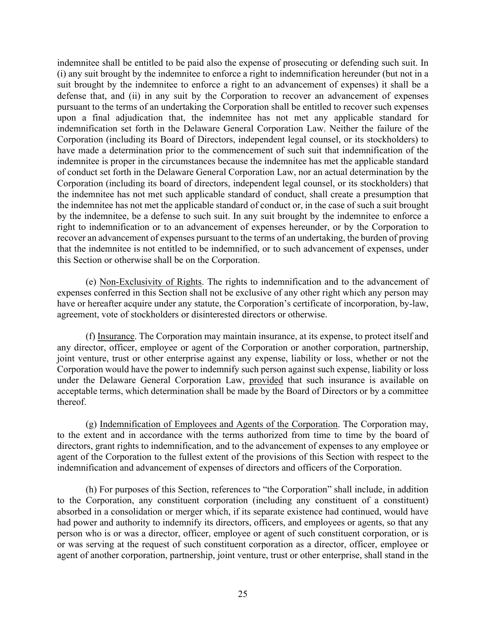indemnitee shall be entitled to be paid also the expense of prosecuting or defending such suit. In (i) any suit brought by the indemnitee to enforce a right to indemnification hereunder (but not in a suit brought by the indemnitee to enforce a right to an advancement of expenses) it shall be a defense that, and (ii) in any suit by the Corporation to recover an advancement of expenses pursuant to the terms of an undertaking the Corporation shall be entitled to recover such expenses upon a final adjudication that, the indemnitee has not met any applicable standard for indemnification set forth in the Delaware General Corporation Law. Neither the failure of the Corporation (including its Board of Directors, independent legal counsel, or its stockholders) to have made a determination prior to the commencement of such suit that indemnification of the indemnitee is proper in the circumstances because the indemnitee has met the applicable standard of conduct set forth in the Delaware General Corporation Law, nor an actual determination by the Corporation (including its board of directors, independent legal counsel, or its stockholders) that the indemnitee has not met such applicable standard of conduct, shall create a presumption that the indemnitee has not met the applicable standard of conduct or, in the case of such a suit brought by the indemnitee, be a defense to such suit. In any suit brought by the indemnitee to enforce a right to indemnification or to an advancement of expenses hereunder, or by the Corporation to recover an advancement of expenses pursuant to the terms of an undertaking, the burden of proving that the indemnitee is not entitled to be indemnified, or to such advancement of expenses, under this Section or otherwise shall be on the Corporation.

(e) Non-Exclusivity of Rights. The rights to indemnification and to the advancement of expenses conferred in this Section shall not be exclusive of any other right which any person may have or hereafter acquire under any statute, the Corporation's certificate of incorporation, by-law, agreement, vote of stockholders or disinterested directors or otherwise.

(f) Insurance. The Corporation may maintain insurance, at its expense, to protect itself and any director, officer, employee or agent of the Corporation or another corporation, partnership, joint venture, trust or other enterprise against any expense, liability or loss, whether or not the Corporation would have the power to indemnify such person against such expense, liability or loss under the Delaware General Corporation Law, provided that such insurance is available on acceptable terms, which determination shall be made by the Board of Directors or by a committee thereof.

(g) Indemnification of Employees and Agents of the Corporation. The Corporation may, to the extent and in accordance with the terms authorized from time to time by the board of directors, grant rights to indemnification, and to the advancement of expenses to any employee or agent of the Corporation to the fullest extent of the provisions of this Section with respect to the indemnification and advancement of expenses of directors and officers of the Corporation.

(h) For purposes of this Section, references to "the Corporation" shall include, in addition to the Corporation, any constituent corporation (including any constituent of a constituent) absorbed in a consolidation or merger which, if its separate existence had continued, would have had power and authority to indemnify its directors, officers, and employees or agents, so that any person who is or was a director, officer, employee or agent of such constituent corporation, or is or was serving at the request of such constituent corporation as a director, officer, employee or agent of another corporation, partnership, joint venture, trust or other enterprise, shall stand in the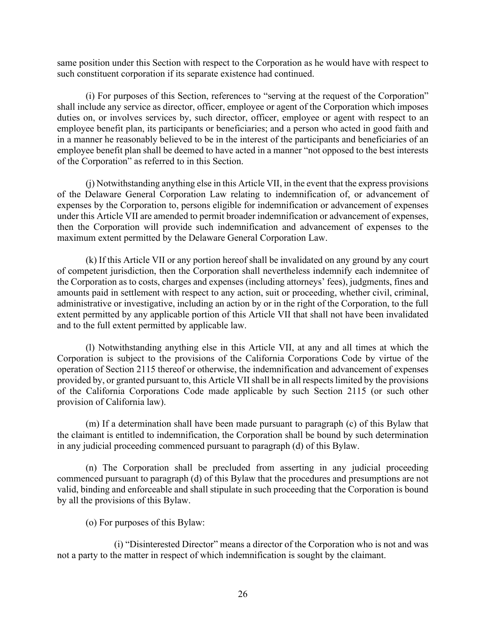same position under this Section with respect to the Corporation as he would have with respect to such constituent corporation if its separate existence had continued.

(i) For purposes of this Section, references to "serving at the request of the Corporation" shall include any service as director, officer, employee or agent of the Corporation which imposes duties on, or involves services by, such director, officer, employee or agent with respect to an employee benefit plan, its participants or beneficiaries; and a person who acted in good faith and in a manner he reasonably believed to be in the interest of the participants and beneficiaries of an employee benefit plan shall be deemed to have acted in a manner "not opposed to the best interests of the Corporation" as referred to in this Section.

(j) Notwithstanding anything else in this Article VII, in the event that the express provisions of the Delaware General Corporation Law relating to indemnification of, or advancement of expenses by the Corporation to, persons eligible for indemnification or advancement of expenses under this Article VII are amended to permit broader indemnification or advancement of expenses, then the Corporation will provide such indemnification and advancement of expenses to the maximum extent permitted by the Delaware General Corporation Law.

(k) If this Article VII or any portion hereof shall be invalidated on any ground by any court of competent jurisdiction, then the Corporation shall nevertheless indemnify each indemnitee of the Corporation as to costs, charges and expenses (including attorneys' fees), judgments, fines and amounts paid in settlement with respect to any action, suit or proceeding, whether civil, criminal, administrative or investigative, including an action by or in the right of the Corporation, to the full extent permitted by any applicable portion of this Article VII that shall not have been invalidated and to the full extent permitted by applicable law.

(l) Notwithstanding anything else in this Article VII, at any and all times at which the Corporation is subject to the provisions of the California Corporations Code by virtue of the operation of Section 2115 thereof or otherwise, the indemnification and advancement of expenses provided by, or granted pursuant to, this Article VII shall be in all respects limited by the provisions of the California Corporations Code made applicable by such Section 2115 (or such other provision of California law).

(m) If a determination shall have been made pursuant to paragraph (c) of this Bylaw that the claimant is entitled to indemnification, the Corporation shall be bound by such determination in any judicial proceeding commenced pursuant to paragraph (d) of this Bylaw.

(n) The Corporation shall be precluded from asserting in any judicial proceeding commenced pursuant to paragraph (d) of this Bylaw that the procedures and presumptions are not valid, binding and enforceable and shall stipulate in such proceeding that the Corporation is bound by all the provisions of this Bylaw.

(o) For purposes of this Bylaw:

(i) "Disinterested Director" means a director of the Corporation who is not and was not a party to the matter in respect of which indemnification is sought by the claimant.